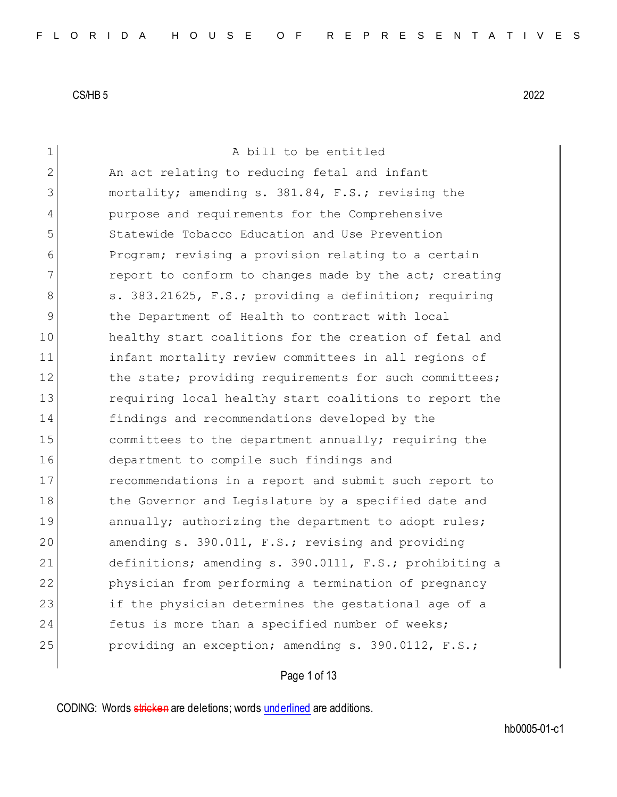1 A bill to be entitled 2 An act relating to reducing fetal and infant 3 mortality; amending s. 381.84, F.S.; revising the 4 purpose and requirements for the Comprehensive 5 Statewide Tobacco Education and Use Prevention 6 Program; revising a provision relating to a certain 7 **report to conform to changes made by the act; creating** 8 s. 383.21625, F.S.; providing a definition; requiring 9 the Department of Health to contract with local 10 healthy start coalitions for the creation of fetal and 11 infant mortality review committees in all regions of 12 the state; providing requirements for such committees; 13 requiring local healthy start coalitions to report the 14 findings and recommendations developed by the 15 committees to the department annually; requiring the 16 department to compile such findings and 17 **examing recommendations in a report and submit such report to** 18 18 the Governor and Legislature by a specified date and 19 annually; authorizing the department to adopt rules; 20 amending s. 390.011, F.S.; revising and providing 21 definitions; amending s. 390.0111, F.S.; prohibiting a 22 physician from performing a termination of pregnancy 23 if the physician determines the gestational age of a 24 fetus is more than a specified number of weeks; 25 providing an exception; amending s. 390.0112, F.S.;

Page 1 of 13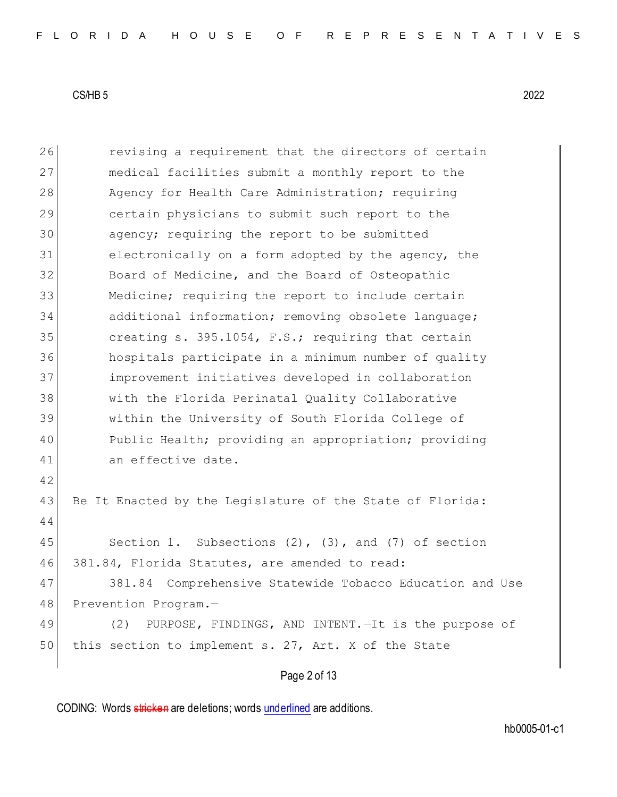26 revising a requirement that the directors of certain 27 medical facilities submit a monthly report to the 28 Agency for Health Care Administration; requiring 29 certain physicians to submit such report to the 30 agency; requiring the report to be submitted 31 electronically on a form adopted by the agency, the 32 Board of Medicine, and the Board of Osteopathic 33 Medicine; requiring the report to include certain 34 additional information; removing obsolete language; 35 **creating s. 395.1054, F.S.; requiring that certain** 36 hospitals participate in a minimum number of quality 37 improvement initiatives developed in collaboration 38 with the Florida Perinatal Quality Collaborative 39 within the University of South Florida College of 40 Public Health; providing an appropriation; providing 41 an effective date. 42 43 Be It Enacted by the Legislature of the State of Florida: 44 45 Section 1. Subsections (2), (3), and (7) of section 46 381.84, Florida Statutes, are amended to read: 47 381.84 Comprehensive Statewide Tobacco Education and Use 48 Prevention Program.-49 (2) PURPOSE, FINDINGS, AND INTENT. - It is the purpose of 50 this section to implement s. 27, Art. X of the State

Page 2 of 13

CODING: Words stricken are deletions; words underlined are additions.

hb0005-01-c1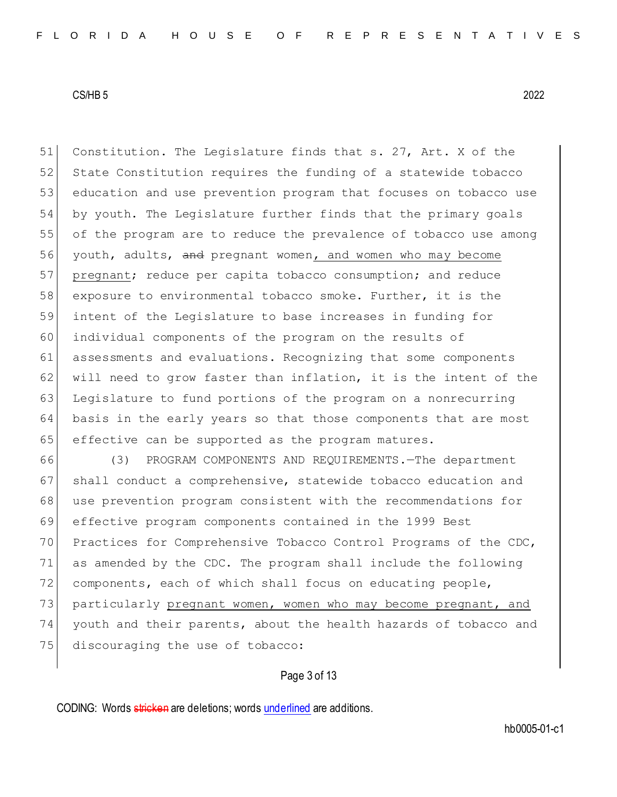51 Constitution. The Legislature finds that s. 27, Art. X of the 52 State Constitution requires the funding of a statewide tobacco 53 education and use prevention program that focuses on tobacco use 54 by youth. The Legislature further finds that the primary goals 55 of the program are to reduce the prevalence of tobacco use among 56 youth, adults, and pregnant women, and women who may become 57 pregnant; reduce per capita tobacco consumption; and reduce 58 exposure to environmental tobacco smoke. Further, it is the 59 intent of the Legislature to base increases in funding for 60 individual components of the program on the results of 61 assessments and evaluations. Recognizing that some components 62 will need to grow faster than inflation, it is the intent of the 63 Legislature to fund portions of the program on a nonrecurring 64 basis in the early years so that those components that are most 65 effective can be supported as the program matures.

66 (3) PROGRAM COMPONENTS AND REQUIREMENTS.—The department 67 shall conduct a comprehensive, statewide tobacco education and 68 use prevention program consistent with the recommendations for 69 effective program components contained in the 1999 Best 70 Practices for Comprehensive Tobacco Control Programs of the CDC, 71 as amended by the CDC. The program shall include the following 72 components, each of which shall focus on educating people, 73 particularly pregnant women, women who may become pregnant, and 74 youth and their parents, about the health hazards of tobacco and 75 discouraging the use of tobacco:

## Page 3 of 13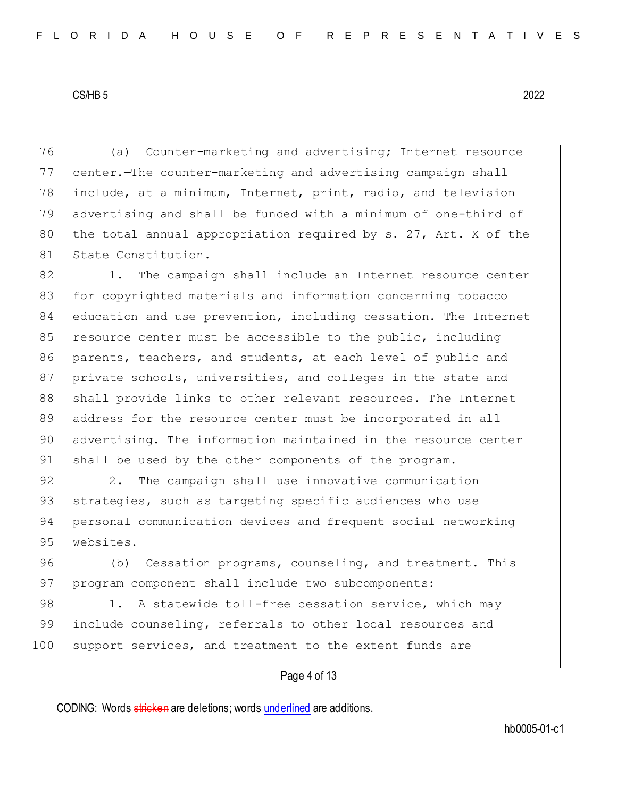76 (a) Counter-marketing and advertising; Internet resource 77 center.—The counter-marketing and advertising campaign shall 78 include, at a minimum, Internet, print, radio, and television 79 advertising and shall be funded with a minimum of one-third of 80 the total annual appropriation required by s. 27, Art. X of the 81 State Constitution.

82 1. The campaign shall include an Internet resource center 83 for copyrighted materials and information concerning tobacco 84 education and use prevention, including cessation. The Internet 85 resource center must be accessible to the public, including 86 parents, teachers, and students, at each level of public and 87 private schools, universities, and colleges in the state and 88 shall provide links to other relevant resources. The Internet 89 address for the resource center must be incorporated in all 90 advertising. The information maintained in the resource center 91 shall be used by the other components of the program.

92 2. The campaign shall use innovative communication 93 strategies, such as targeting specific audiences who use 94 personal communication devices and frequent social networking 95 websites.

96 (b) Cessation programs, counseling, and treatment. This 97 program component shall include two subcomponents:

98 1. A statewide toll-free cessation service, which may 99 include counseling, referrals to other local resources and 100 support services, and treatment to the extent funds are

Page 4 of 13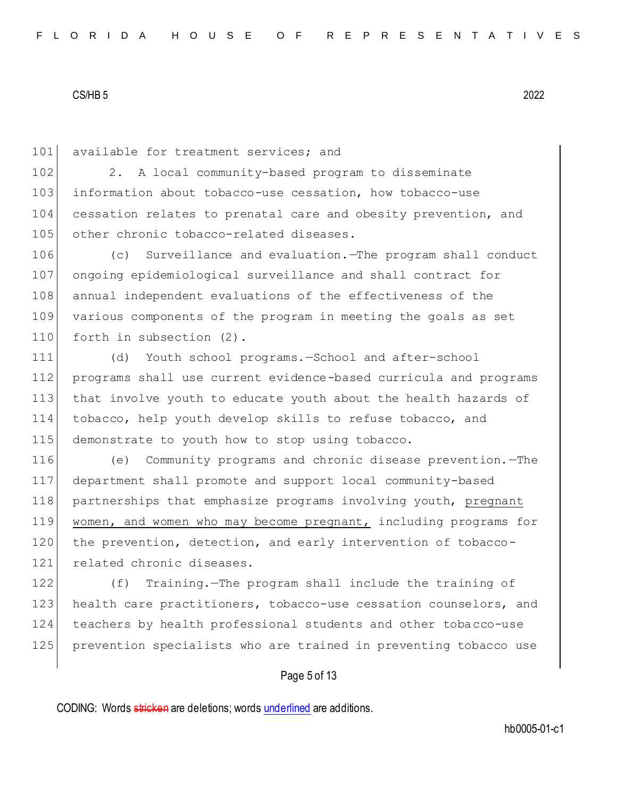101 available for treatment services; and

102 2. A local community-based program to disseminate 103 information about tobacco-use cessation, how tobacco-use 104 cessation relates to prenatal care and obesity prevention, and 105 other chronic tobacco-related diseases.

 (c) Surveillance and evaluation.—The program shall conduct ongoing epidemiological surveillance and shall contract for annual independent evaluations of the effectiveness of the various components of the program in meeting the goals as set 110 forth in subsection (2).

 (d) Youth school programs.—School and after-school programs shall use current evidence-based curricula and programs that involve youth to educate youth about the health hazards of tobacco, help youth develop skills to refuse tobacco, and 115 demonstrate to youth how to stop using tobacco.

116 (e) Community programs and chronic disease prevention.—The 117 department shall promote and support local community-based 118 partnerships that emphasize programs involving youth, pregnant 119 women, and women who may become pregnant, including programs for 120 the prevention, detection, and early intervention of tobacco-121 related chronic diseases.

 (f) Training.—The program shall include the training of 123 health care practitioners, tobacco-use cessation counselors, and teachers by health professional students and other tobacco-use prevention specialists who are trained in preventing tobacco use

## Page 5 of 13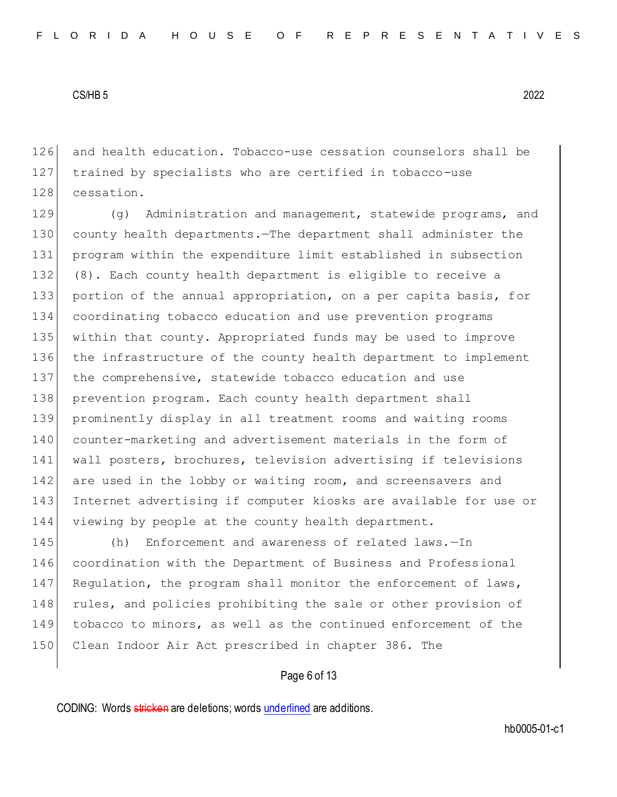and health education. Tobacco-use cessation counselors shall be trained by specialists who are certified in tobacco-use 128 cessation.

129 (g) Administration and management, statewide programs, and county health departments.—The department shall administer the program within the expenditure limit established in subsection (8). Each county health department is eligible to receive a portion of the annual appropriation, on a per capita basis, for coordinating tobacco education and use prevention programs within that county. Appropriated funds may be used to improve the infrastructure of the county health department to implement the comprehensive, statewide tobacco education and use prevention program. Each county health department shall prominently display in all treatment rooms and waiting rooms counter-marketing and advertisement materials in the form of wall posters, brochures, television advertising if televisions 142 are used in the lobby or waiting room, and screensavers and Internet advertising if computer kiosks are available for use or viewing by people at the county health department.

145 (h) Enforcement and awareness of related laws.-In coordination with the Department of Business and Professional 147 Regulation, the program shall monitor the enforcement of laws, 148 rules, and policies prohibiting the sale or other provision of tobacco to minors, as well as the continued enforcement of the Clean Indoor Air Act prescribed in chapter 386. The

## Page 6 of 13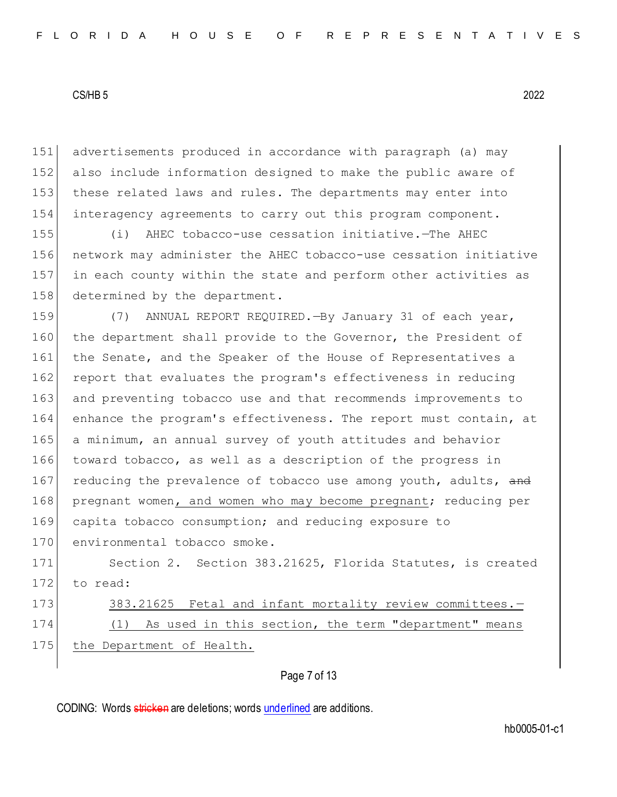advertisements produced in accordance with paragraph (a) may also include information designed to make the public aware of these related laws and rules. The departments may enter into interagency agreements to carry out this program component.

 (i) AHEC tobacco-use cessation initiative.—The AHEC network may administer the AHEC tobacco-use cessation initiative in each county within the state and perform other activities as 158 determined by the department.

159 (7) ANNUAL REPORT REQUIRED.—By January 31 of each year, 160 the department shall provide to the Governor, the President of 161 the Senate, and the Speaker of the House of Representatives a 162 report that evaluates the program's effectiveness in reducing 163 and preventing tobacco use and that recommends improvements to 164 enhance the program's effectiveness. The report must contain, at 165 a minimum, an annual survey of youth attitudes and behavior 166 toward tobacco, as well as a description of the progress in 167 reducing the prevalence of tobacco use among youth, adults, and 168 pregnant women, and women who may become pregnant; reducing per 169 capita tobacco consumption; and reducing exposure to

170 environmental tobacco smoke.

171 Section 2. Section 383.21625, Florida Statutes, is created 172 to read: 173 383.21625 Fetal and infant mortality review committees.-

# 174 (1) As used in this section, the term "department" means 175 the Department of Health.

## Page 7 of 13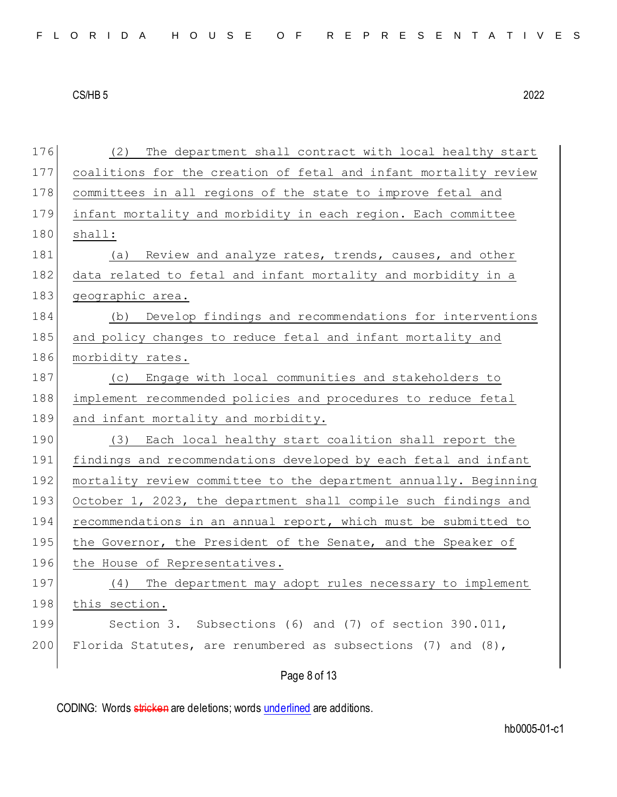| 176 | The department shall contract with local healthy start<br>(2)    |
|-----|------------------------------------------------------------------|
| 177 | coalitions for the creation of fetal and infant mortality review |
| 178 | committees in all regions of the state to improve fetal and      |
| 179 | infant mortality and morbidity in each region. Each committee    |
| 180 | shall:                                                           |
| 181 | (a) Review and analyze rates, trends, causes, and other          |
| 182 | data related to fetal and infant mortality and morbidity in a    |
| 183 | geographic area.                                                 |
| 184 | (b) Develop findings and recommendations for interventions       |
| 185 | and policy changes to reduce fetal and infant mortality and      |
| 186 | morbidity rates.                                                 |
| 187 | (c) Engage with local communities and stakeholders to            |
| 188 | implement recommended policies and procedures to reduce fetal    |
|     |                                                                  |
| 189 | and infant mortality and morbidity.                              |
| 190 | Each local healthy start coalition shall report the<br>(3)       |
| 191 | findings and recommendations developed by each fetal and infant  |
| 192 | mortality review committee to the department annually. Beginning |
| 193 | October 1, 2023, the department shall compile such findings and  |
| 194 | recommendations in an annual report, which must be submitted to  |
| 195 | the Governor, the President of the Senate, and the Speaker of    |
| 196 | the House of Representatives.                                    |
| 197 | (4) The department may adopt rules necessary to implement        |
| 198 | this section.                                                    |
| 199 | Section 3. Subsections (6) and (7) of section 390.011,           |
| 200 | Florida Statutes, are renumbered as subsections (7) and (8),     |

Page 8 of 13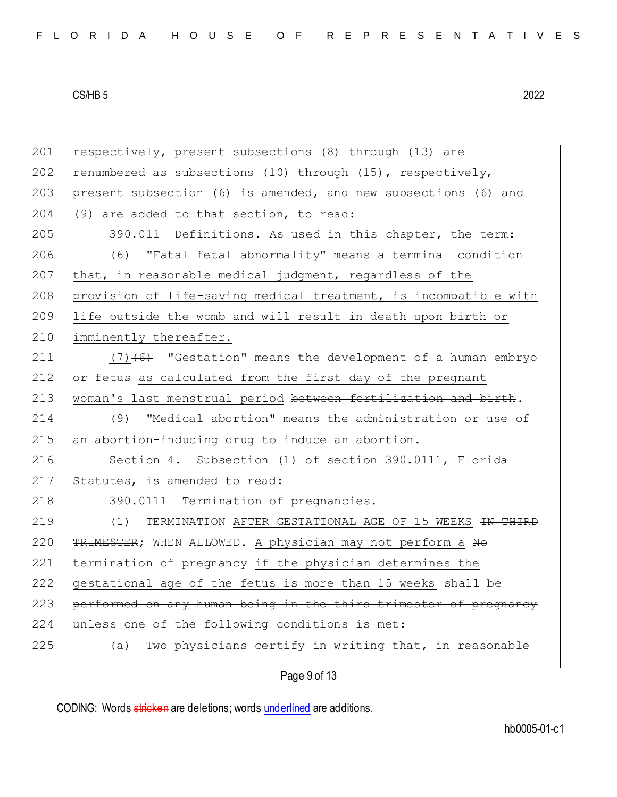| 201 | respectively, present subsections (8) through (13) are                   |
|-----|--------------------------------------------------------------------------|
| 202 | renumbered as subsections (10) through (15), respectively,               |
| 203 | present subsection (6) is amended, and new subsections (6) and           |
| 204 | (9) are added to that section, to read:                                  |
| 205 | 390.011 Definitions. - As used in this chapter, the term:                |
| 206 | (6) "Fatal fetal abnormality" means a terminal condition                 |
| 207 | that, in reasonable medical judgment, regardless of the                  |
| 208 | provision of life-saving medical treatment, is incompatible with         |
| 209 | life outside the womb and will result in death upon birth or             |
| 210 | imminently thereafter.                                                   |
| 211 | $(7)$ +6) "Gestation" means the development of a human embryo            |
| 212 | or fetus as calculated from the first day of the pregnant                |
| 213 | woman's last menstrual period between fertilization and birth.           |
| 214 | (9) "Medical abortion" means the administration or use of                |
| 215 | an abortion-inducing drug to induce an abortion.                         |
| 216 | Section 4. Subsection (1) of section 390.0111, Florida                   |
| 217 | Statutes, is amended to read:                                            |
| 218 | 390.0111 Termination of pregnancies.-                                    |
| 219 | (1)<br>TERMINATION AFTER GESTATIONAL AGE OF 15 WEEKS <del>IN THIRD</del> |
| 220 | TRIMESTER; WHEN ALLOWED. - A physician may not perform a No              |
| 221 | termination of pregnancy if the physician determines the                 |
| 222 | gestational age of the fetus is more than 15 weeks shall be              |
| 223 | performed on any human being in the third trimester of pregnancy         |
| 224 | unless one of the following conditions is met:                           |
| 225 | (a)<br>Two physicians certify in writing that, in reasonable             |
|     | Page 9 of 13                                                             |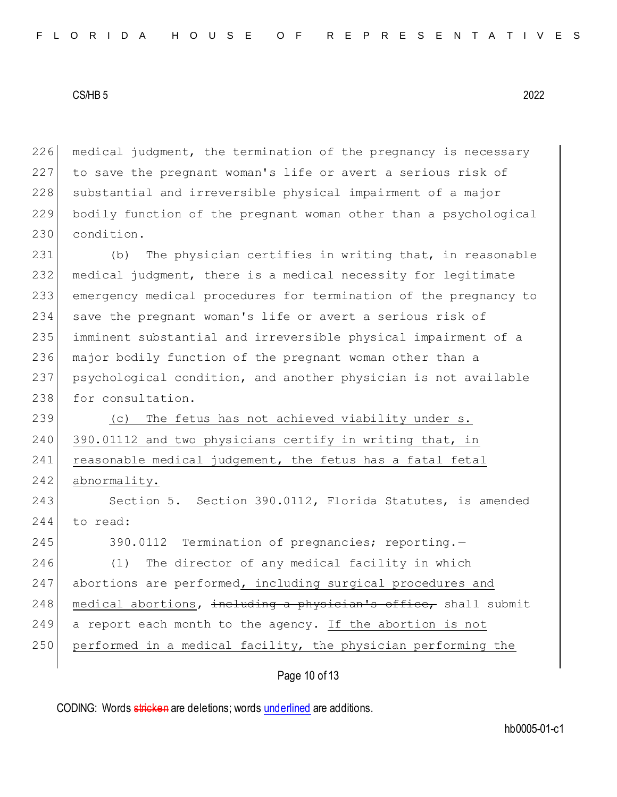226 medical judgment, the termination of the pregnancy is necessary 227 to save the pregnant woman's life or avert a serious risk of 228 substantial and irreversible physical impairment of a major 229 bodily function of the pregnant woman other than a psychological 230 condition.

231 (b) The physician certifies in writing that, in reasonable medical judgment, there is a medical necessity for legitimate emergency medical procedures for termination of the pregnancy to 234 save the pregnant woman's life or avert a serious risk of imminent substantial and irreversible physical impairment of a major bodily function of the pregnant woman other than a psychological condition, and another physician is not available 238 for consultation.

239 (c) The fetus has not achieved viability under s. 240 390.01112 and two physicians certify in writing that, in 241 reasonable medical judgement, the fetus has a fatal fetal 242 abnormality.

243 Section 5. Section 390.0112, Florida Statutes, is amended 244 to read:

245 390.0112 Termination of pregnancies; reporting.-

246 (1) The director of any medical facility in which 247 abortions are performed, including surgical procedures and 248 medical abortions, including a physician's office, shall submit 249 a report each month to the agency. If the abortion is not 250 performed in a medical facility, the physician performing the

Page 10 of 13

CODING: Words stricken are deletions; words underlined are additions.

hb0005-01-c1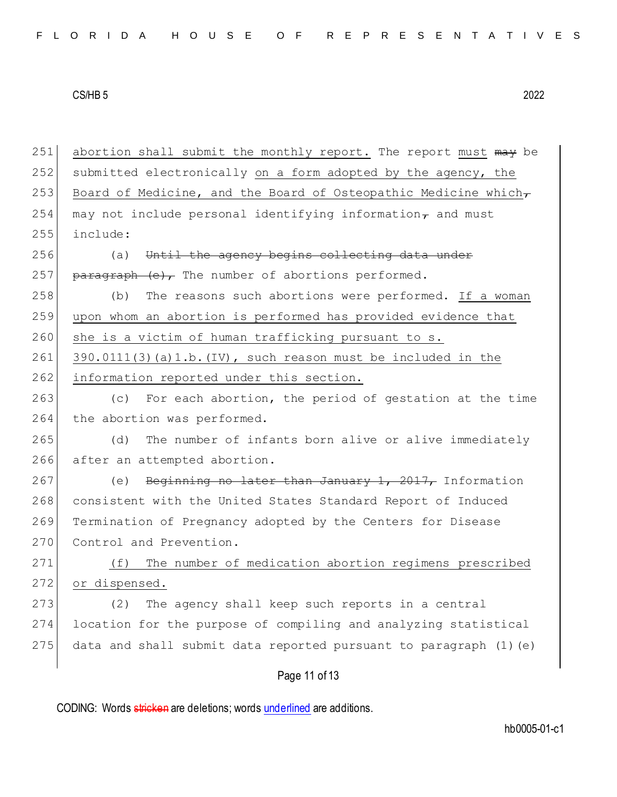Page 11 of 13 251 abortion shall submit the monthly report. The report must  $m\rightarrow$  be 252 submitted electronically on a form adopted by the agency, the 253 Board of Medicine, and the Board of Osteopathic Medicine which $_{\tau}$ 254 may not include personal identifying information $<sub>7</sub>$  and must</sub> 255 include: 256 (a) Until the agency begins collecting data under 257 paragraph  $(e)$ , The number of abortions performed. 258 (b) The reasons such abortions were performed. If a woman 259 upon whom an abortion is performed has provided evidence that 260 she is a victim of human trafficking pursuant to s. 261 390.0111(3)(a)1.b.(IV), such reason must be included in the 262 information reported under this section. 263 (c) For each abortion, the period of gestation at the time 264 the abortion was performed. 265 (d) The number of infants born alive or alive immediately 266 after an attempted abortion. 267 (e) Beginning no later than January 1, 2017, Information 268 consistent with the United States Standard Report of Induced 269 Termination of Pregnancy adopted by the Centers for Disease 270 Control and Prevention. 271 (f) The number of medication abortion regimens prescribed 272 or dispensed. 273 (2) The agency shall keep such reports in a central 274 location for the purpose of compiling and analyzing statistical 275 data and shall submit data reported pursuant to paragraph  $(1)(e)$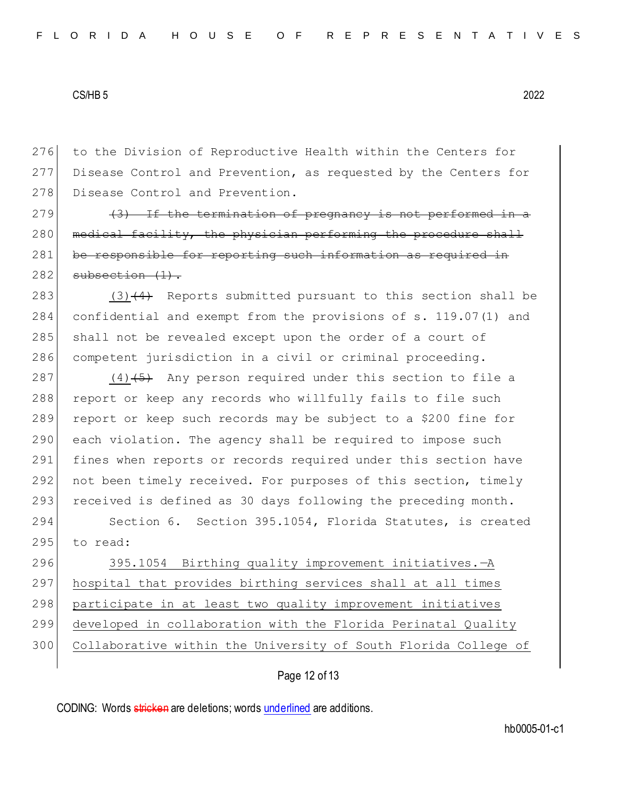276 to the Division of Reproductive Health within the Centers for 277 Disease Control and Prevention, as requested by the Centers for 278 Disease Control and Prevention.

 $279$  (3) If the termination of pregnancy is not performed in 280 medical facility, the physician performing the procedure shall 281 be responsible for reporting such information as required in  $282$  subsection  $(1)$ .

 $(3)$  (3)  $(4)$  Reports submitted pursuant to this section shall be confidential and exempt from the provisions of s. 119.07(1) and 285 shall not be revealed except upon the order of a court of competent jurisdiction in a civil or criminal proceeding.

287 (4) $(4)$  Any person required under this section to file a 288 report or keep any records who willfully fails to file such 289 report or keep such records may be subject to a \$200 fine for 290 each violation. The agency shall be required to impose such 291 fines when reports or records required under this section have 292 not been timely received. For purposes of this section, timely 293 received is defined as 30 days following the preceding month.

294 Section 6. Section 395.1054, Florida Statutes, is created 295 to read:

296 395.1054 Birthing quality improvement initiatives. - A hospital that provides birthing services shall at all times participate in at least two quality improvement initiatives developed in collaboration with the Florida Perinatal Quality Collaborative within the University of South Florida College of

## Page 12 of 13